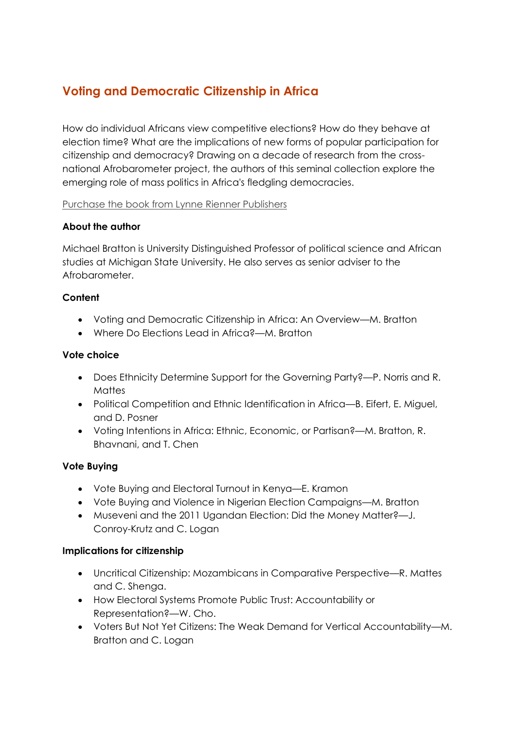# **Voting and Democratic Citizenship in Africa**

How do individual Africans view competitive elections? How do they behave at election time? What are the implications of new forms of popular participation for citizenship and democracy? Drawing on a decade of research from the crossnational Afrobarometer project, the authors of this seminal collection explore the emerging role of mass politics in Africa's fledgling democracies.

#### [Purchase the book from Lynne Rienner Publishers](https://www.rienner.com/title/Voting_and_Democratic_Citizenship_in_Africa)

#### **About the author**

Michael Bratton is University Distinguished Professor of political science and African studies at Michigan State University. He also serves as senior adviser to the Afrobarometer.

## **Content**

- Voting and Democratic Citizenship in Africa: An Overview—M. Bratton
- Where Do Elections Lead in Africa?—M. Bratton

#### **Vote choice**

- Does Ethnicity Determine Support for the Governing Party?—P. Norris and R. Mattes
- Political Competition and Ethnic Identification in Africa—B. Eifert, E. Miguel, and D. Posner
- Voting Intentions in Africa: Ethnic, Economic, or Partisan?—M. Bratton, R. Bhavnani, and T. Chen

#### **Vote Buying**

- Vote Buying and Electoral Turnout in Kenya—E. Kramon
- Vote Buying and Violence in Nigerian Election Campaigns—M. Bratton
- Museveni and the 2011 Ugandan Election: Did the Money Matter?—J. Conroy-Krutz and C. Logan

#### **Implications for citizenship**

- Uncritical Citizenship: Mozambicans in Comparative Perspective—R. Mattes and C. Shenga.
- How Electoral Systems Promote Public Trust: Accountability or Representation?—W. Cho.
- Voters But Not Yet Citizens: The Weak Demand for Vertical Accountability—M. Bratton and C. Logan